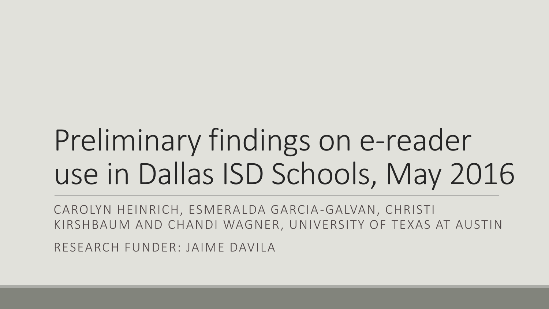# Preliminary findings on e-reader use in Dallas ISD Schools, May 2016

CAROLYN HEINRICH, ESMERALDA GARCIA-GALVAN, CHRISTI KIRSHBAUM AND CHANDI WAGNER, UNIVERSITY OF TEXAS AT AUSTIN

RESEARCH FUNDER: JAIME DAVILA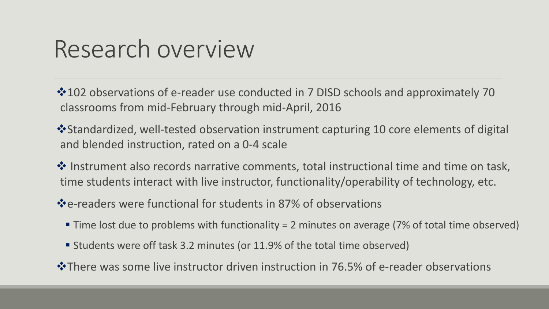### Research overview

 $*102$  observations of e-reader use conducted in 7 DISD schools and approximately 70 classrooms from mid-February through mid-April, 2016

 $\dots$ Standardized, well-tested observation instrument capturing 10 core elements of digital and blended instruction, rated on a 0-4 scale

❖ Instrument also records narrative comments, total instructional time and time on task, time students interact with live instructor, functionality/operability of technology, etc.

e-readers were functional for students in 87% of observations

- Time lost due to problems with functionality = 2 minutes on average (7% of total time observed)
- Students were off task 3.2 minutes (or 11.9% of the total time observed)
- There was some live instructor driven instruction in 76.5% of e-reader observations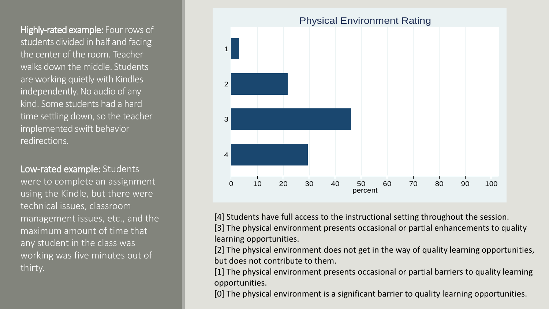Highly-rated example: Four rows of students divided in half and facing the center of the room. Teacher walks down the middle. Students are working quietly with Kindles independently. No audio of any kind. Some students had a hard time settling down, so the teacher implemented swift behavior redirections.

Low-rated example: Students were to complete an assignment using the Kindle, but there were technical issues, classroom management issues, etc., and the maximum amount of time that any student in the class was working was five minutes out of thirty.



[4] Students have full access to the instructional setting throughout the session. [3] The physical environment presents occasional or partial enhancements to quality learning opportunities.

[2] The physical environment does not get in the way of quality learning opportunities, but does not contribute to them.

[1] The physical environment presents occasional or partial barriers to quality learning opportunities.

[0] The physical environment is a significant barrier to quality learning opportunities.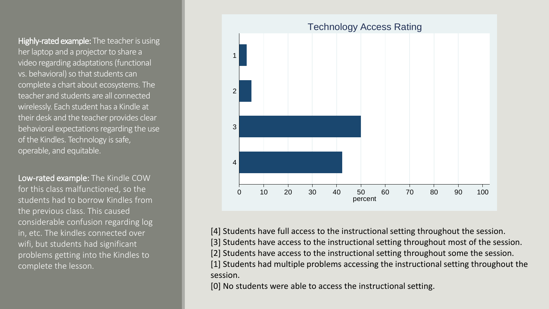Highly-rated example: The teacher is using her laptop and a projector to share a video regarding adaptations (functional vs. behavioral) so that students can complete a chart about ecosystems. The teacher and students are all connected wirelessly. Each student has a Kindle at their desk and the teacher provides clear behavioral expectations regarding the use of the Kindles. Technology is safe, operable, and equitable.

Low-rated example: The Kindle COW for this class malfunctioned, so the students had to borrow Kindles from the previous class. This caused considerable confusion regarding log in, etc. The kindles connected over wifi, but students had significant problems getting into the Kindles to complete the lesson.



[4] Students have full access to the instructional setting throughout the session.

[3] Students have access to the instructional setting throughout most of the session.

[2] Students have access to the instructional setting throughout some the session.

[1] Students had multiple problems accessing the instructional setting throughout the session.

[0] No students were able to access the instructional setting.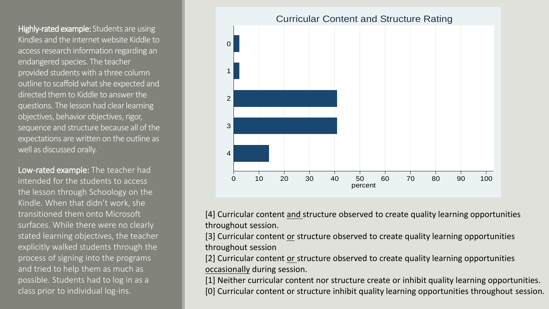Highly-rated example: Students are using Kindles and the internet website Kiddle to access research information regarding an endangered species. The teacher provided students with a three column outline to scaffold what she expected and directed them to Kiddle to answer the questions. The lesson had clear learning objectives, behavior objectives, rigor, sequence and structure because all of the expectations are written on the outline as well as discussed orally.

Low-rated example: The teacher had intended for the students to access the lesson through Schoology on the Kindle. When that didn't work, she transitioned them onto Microsoft surfaces. While there were no clearly stated learning objectives, the teacher explicitly walked students through the process of signing into the programs and tried to help them as much as possible. Students had to log in as a class prior to individual log-ins.



[4] Curricular content and structure observed to create quality learning opportunities throughout session.

[3] Curricular content or structure observed to create quality learning opportunities throughout session

[2] Curricular content or structure observed to create quality learning opportunities occasionally during session.

[1] Neither curricular content nor structure create or inhibit quality learning opportunities. [0] Curricular content or structure inhibit quality learning opportunities throughout session.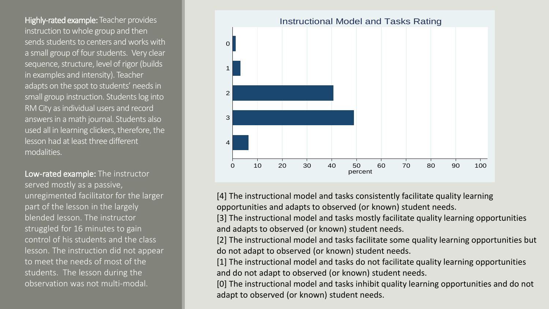Highly-rated example: Teacher provides instruction to whole group and then sends students to centers and works with a small group of four students. Very clear sequence, structure, level of rigor (builds in examples and intensity). Teacher adapts on the spot to students' needs in small group instruction. Students log into RM City as individual users and record answers in a math journal. Students also used all in learning clickers, therefore, the lesson had at least three different modalities.

Low-rated example: The instructor served mostly as a passive, unregimented facilitator for the larger part of the lesson in the largely blended lesson. The instructor struggled for 16 minutes to gain control of his students and the class lesson. The instruction did not appear to meet the needs of most of the students. The lesson during the observation was not multi-modal.



[4] The instructional model and tasks consistently facilitate quality learning opportunities and adapts to observed (or known) student needs.

[3] The instructional model and tasks mostly facilitate quality learning opportunities and adapts to observed (or known) student needs.

[2] The instructional model and tasks facilitate some quality learning opportunities but do not adapt to observed (or known) student needs.

[1] The instructional model and tasks do not facilitate quality learning opportunities and do not adapt to observed (or known) student needs.

[0] The instructional model and tasks inhibit quality learning opportunities and do not adapt to observed (or known) student needs.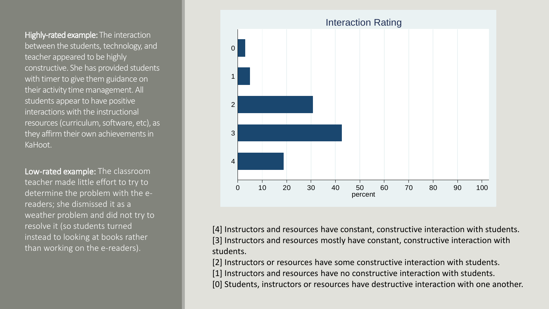Highly-rated example: The interaction between the students, technology, and teacher appeared to be highly constructive. She has provided students with timer to give them guidance on their activity time management. All students appear to have positive interactions with the instructional resources (curriculum, software, etc), as they affirm their own achievements in KaHoot.

Low-rated example: The classroom teacher made little effort to try to determine the problem with the ereaders; she dismissed it as a weather problem and did not try to resolve it (so students turned instead to looking at books rather than working on the e-readers).



[4] Instructors and resources have constant, constructive interaction with students. [3] Instructors and resources mostly have constant, constructive interaction with students.

[2] Instructors or resources have some constructive interaction with students.

[1] Instructors and resources have no constructive interaction with students.

[0] Students, instructors or resources have destructive interaction with one another.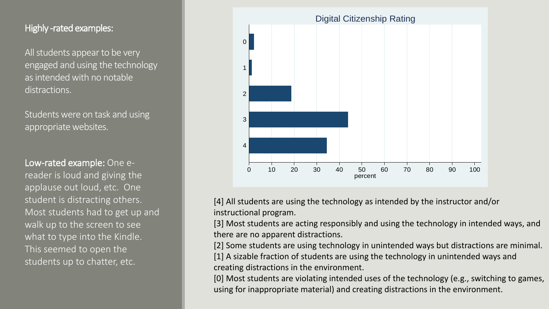#### Highly -rated examples:

All students appear to be very engaged and using the technology as intended with no notable distractions.

Students were on task and using appropriate websites.

Low-rated example: One ereader is loud and giving the applause out loud, etc. One student is distracting others. Most students had to get up and walk up to the screen to see what to type into the Kindle. This seemed to open the students up to chatter, etc.



[4] All students are using the technology as intended by the instructor and/or instructional program.

[3] Most students are acting responsibly and using the technology in intended ways, and there are no apparent distractions.

[2] Some students are using technology in unintended ways but distractions are minimal.

[1] A sizable fraction of students are using the technology in unintended ways and creating distractions in the environment.

[0] Most students are violating intended uses of the technology (e.g., switching to games, using for inappropriate material) and creating distractions in the environment.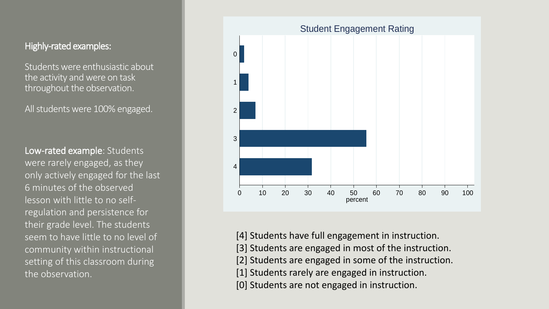#### Highly-rated examples:

Students were enthusiastic about the activity and were on task throughout the observation.

All students were 100% engaged.

Low-rated example: Students were rarely engaged, as they only actively engaged for the last 6 minutes of the observed lesson with little to no selfregulation and persistence for their grade level. The students seem to have little to no level of community within instructional setting of this classroom during the observation.



- [4] Students have full engagement in instruction.
- [3] Students are engaged in most of the instruction.
- [2] Students are engaged in some of the instruction.
- [1] Students rarely are engaged in instruction.
- [0] Students are not engaged in instruction.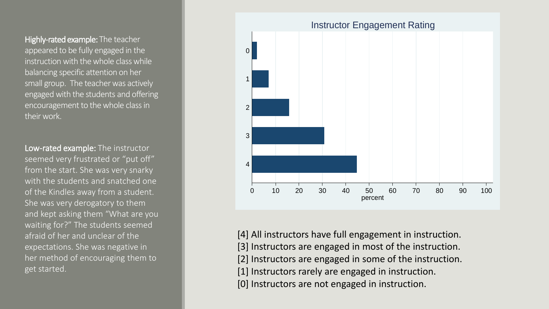Highly-rated example: The teacher appeared to be fully engaged in the instruction with the whole class while balancing specific attention on her small group. The teacher was actively engaged with the students and offering encouragement to the whole class in their work.

Low-rated example: The instructor seemed very frustrated or "put off" from the start. She was very snarky with the students and snatched one of the Kindles away from a student. She was very derogatory to them and kept asking them "What are you waiting for?" The students seemed afraid of her and unclear of the expectations. She was negative in her method of encouraging them to get started.



[4] All instructors have full engagement in instruction. [3] Instructors are engaged in most of the instruction. [2] Instructors are engaged in some of the instruction. [1] Instructors rarely are engaged in instruction. [0] Instructors are not engaged in instruction.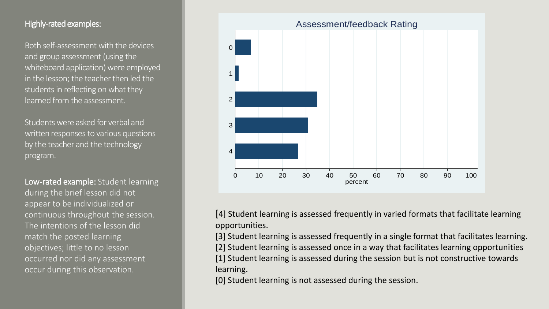#### Highly-rated examples:

Both self-assessment with the devices and group assessment (using the whiteboard application) were employed in the lesson; the teacher then led the students in reflecting on what they learned from the assessment.

Students were asked for verbal and written responses to various questions by the teacher and the technology program.

Low-rated example: Student learning during the brief lesson did not appear to be individualized or continuous throughout the session. The intentions of the lesson did match the posted learning objectives; little to no lesson occurred nor did any assessment occur during this observation.



[4] Student learning is assessed frequently in varied formats that facilitate learning opportunities.

[3] Student learning is assessed frequently in a single format that facilitates learning. [2] Student learning is assessed once in a way that facilitates learning opportunities [1] Student learning is assessed during the session but is not constructive towards learning.

[0] Student learning is not assessed during the session.